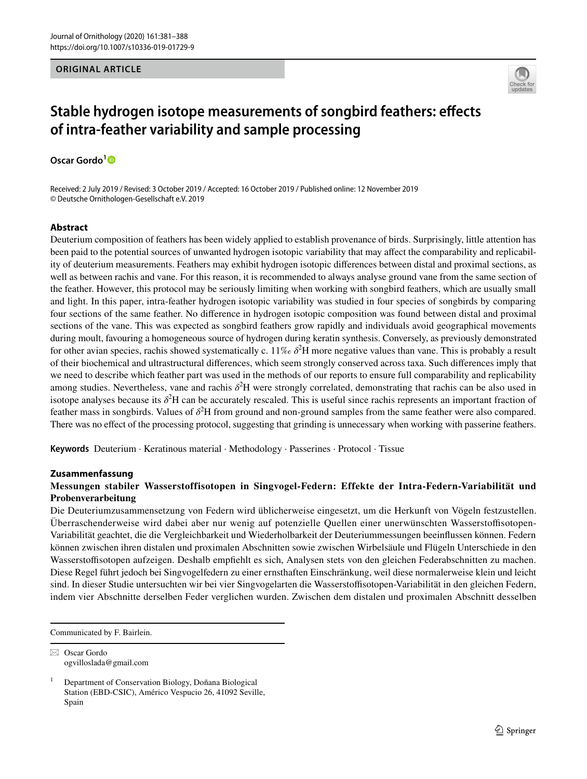### **ORIGINAL ARTICLE**



# **Stable hydrogen isotope measurements of songbird feathers: efects of intra‑feather variability and sample processing**

**Oscar Gordo[1](http://orcid.org/0000-0003-3766-0566)**

Received: 2 July 2019 / Revised: 3 October 2019 / Accepted: 16 October 2019 / Published online: 12 November 2019 © Deutsche Ornithologen-Gesellschaft e.V. 2019

## **Abstract**

Deuterium composition of feathers has been widely applied to establish provenance of birds. Surprisingly, little attention has been paid to the potential sources of unwanted hydrogen isotopic variability that may afect the comparability and replicability of deuterium measurements. Feathers may exhibit hydrogen isotopic diferences between distal and proximal sections, as well as between rachis and vane. For this reason, it is recommended to always analyse ground vane from the same section of the feather. However, this protocol may be seriously limiting when working with songbird feathers, which are usually small and light. In this paper, intra-feather hydrogen isotopic variability was studied in four species of songbirds by comparing four sections of the same feather. No diference in hydrogen isotopic composition was found between distal and proximal sections of the vane. This was expected as songbird feathers grow rapidly and individuals avoid geographical movements during moult, favouring a homogeneous source of hydrogen during keratin synthesis. Conversely, as previously demonstrated for other avian species, rachis showed systematically c. 11‰  $\delta^2$ H more negative values than vane. This is probably a result of their biochemical and ultrastructural diferences, which seem strongly conserved across taxa. Such diferences imply that we need to describe which feather part was used in the methods of our reports to ensure full comparability and replicability among studies. Nevertheless, vane and rachis  $\delta^2$ H were strongly correlated, demonstrating that rachis can be also used in isotope analyses because its  $\delta^2$ H can be accurately rescaled. This is useful since rachis represents an important fraction of feather mass in songbirds. Values of  $\delta^2$ H from ground and non-ground samples from the same feather were also compared. There was no efect of the processing protocol, suggesting that grinding is unnecessary when working with passerine feathers.

**Keywords** Deuterium · Keratinous material · Methodology · Passerines · Protocol · Tissue

#### **Zusammenfassung**

## **Messungen stabiler Wasserstoffisotopen in Singvogel-Federn: Effekte der Intra-Federn-Variabilität und Probenverarbeitung**

Die Deuteriumzusammensetzung von Federn wird üblicherweise eingesetzt, um die Herkunft von Vögeln festzustellen. Überraschenderweise wird dabei aber nur wenig auf potenzielle Quellen einer unerwünschten Wasserstofsotopen-Variabilität geachtet, die die Vergleichbarkeit und Wiederholbarkeit der Deuteriummessungen beeinfussen können. Federn können zwischen ihren distalen und proximalen Abschnitten sowie zwischen Wirbelsäule und Flügeln Unterschiede in den Wasserstoffisotopen aufzeigen. Deshalb empfiehlt es sich, Analysen stets von den gleichen Federabschnitten zu machen. Diese Regel führt jedoch bei Singvogelfedern zu einer ernsthaften Einschränkung, weil diese normalerweise klein und leicht sind. In dieser Studie untersuchten wir bei vier Singvogelarten die Wasserstofsotopen-Variabilität in den gleichen Federn, indem vier Abschnitte derselben Feder verglichen wurden. Zwischen dem distalen und proximalen Abschnitt desselben

Communicated by F. Bairlein.

 $\boxtimes$  Oscar Gordo ogvilloslada@gmail.com

<sup>1</sup> Department of Conservation Biology, Doñana Biological Station (EBD-CSIC), Américo Vespucio 26, 41092 Seville, Spain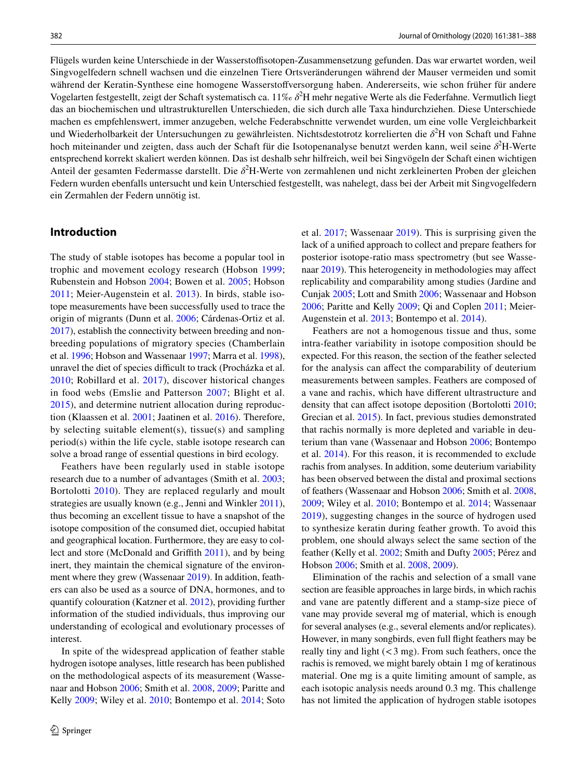Flügels wurden keine Unterschiede in der Wasserstofsotopen-Zusammensetzung gefunden. Das war erwartet worden, weil Singvogelfedern schnell wachsen und die einzelnen Tiere Ortsveränderungen während der Mauser vermeiden und somit während der Keratin-Synthese eine homogene Wasserstofversorgung haben. Andererseits, wie schon früher für andere Vogelarten festgestellt, zeigt der Schaft systematisch ca. 11‰ δ<sup>2</sup>H mehr negative Werte als die Federfahne. Vermutlich liegt das an biochemischen und ultrastrukturellen Unterschieden, die sich durch alle Taxa hindurchziehen. Diese Unterschiede machen es empfehlenswert, immer anzugeben, welche Federabschnitte verwendet wurden, um eine volle Vergleichbarkeit und Wiederholbarkeit der Untersuchungen zu gewährleisten. Nichtsdestotrotz korrelierten die δ<sup>2</sup>H von Schaft und Fahne hoch miteinander und zeigten, dass auch der Schaft für die Isotopenanalyse benutzt werden kann, weil seine δ<sup>2</sup>H-Werte entsprechend korrekt skaliert werden können. Das ist deshalb sehr hilfreich, weil bei Singvögeln der Schaft einen wichtigen Anteil der gesamten Federmasse darstellt. Die δ<sup>2</sup>H-Werte von zermahlenen und nicht zerkleinerten Proben der gleichen Federn wurden ebenfalls untersucht und kein Unterschied festgestellt, was nahelegt, dass bei der Arbeit mit Singvogelfedern ein Zermahlen der Federn unnötig ist.

## **Introduction**

The study of stable isotopes has become a popular tool in trophic and movement ecology research (Hobson [1999](#page-6-0); Rubenstein and Hobson [2004;](#page-7-0) Bowen et al. [2005;](#page-6-1) Hobson [2011;](#page-6-2) Meier-Augenstein et al. [2013](#page-6-3)). In birds, stable isotope measurements have been successfully used to trace the origin of migrants (Dunn et al. [2006;](#page-6-4) Cárdenas-Ortiz et al. [2017\)](#page-6-5), establish the connectivity between breeding and nonbreeding populations of migratory species (Chamberlain et al. [1996;](#page-6-6) Hobson and Wassenaar [1997;](#page-6-7) Marra et al. [1998](#page-6-8)), unravel the diet of species difficult to track (Procházka et al. [2010;](#page-6-9) Robillard et al. [2017\)](#page-7-1), discover historical changes in food webs (Emslie and Patterson [2007;](#page-6-10) Blight et al. [2015](#page-5-0)), and determine nutrient allocation during reproduction (Klaassen et al. [2001;](#page-6-11) Jaatinen et al. [2016\)](#page-6-12). Therefore, by selecting suitable element(s), tissue(s) and sampling period(s) within the life cycle, stable isotope research can solve a broad range of essential questions in bird ecology.

Feathers have been regularly used in stable isotope research due to a number of advantages (Smith et al. [2003](#page-7-2); Bortolotti [2010](#page-6-13)). They are replaced regularly and moult strategies are usually known (e.g., Jenni and Winkler [2011](#page-6-14)), thus becoming an excellent tissue to have a snapshot of the isotope composition of the consumed diet, occupied habitat and geographical location. Furthermore, they are easy to collect and store (McDonald and Grifth [2011\)](#page-6-15), and by being inert, they maintain the chemical signature of the environment where they grew (Wassenaar [2019\)](#page-7-3). In addition, feathers can also be used as a source of DNA, hormones, and to quantify colouration (Katzner et al. [2012\)](#page-6-16), providing further information of the studied individuals, thus improving our understanding of ecological and evolutionary processes of interest.

In spite of the widespread application of feather stable hydrogen isotope analyses, little research has been published on the methodological aspects of its measurement (Wassenaar and Hobson [2006;](#page-7-4) Smith et al. [2008](#page-7-5), [2009;](#page-7-6) Paritte and Kelly [2009](#page-6-17); Wiley et al. [2010;](#page-7-7) Bontempo et al. [2014](#page-6-18); Soto et al. [2017;](#page-7-8) Wassenaar [2019](#page-7-3)). This is surprising given the lack of a unifed approach to collect and prepare feathers for posterior isotope-ratio mass spectrometry (but see Wassenaar [2019\)](#page-7-3). This heterogeneity in methodologies may afect replicability and comparability among studies (Jardine and Cunjak [2005;](#page-6-19) Lott and Smith [2006;](#page-6-20) Wassenaar and Hobson [2006](#page-7-4); Paritte and Kelly [2009;](#page-6-17) Qi and Coplen [2011;](#page-6-21) Meier-Augenstein et al. [2013](#page-6-3); Bontempo et al. [2014](#page-6-18)).

Feathers are not a homogenous tissue and thus, some intra-feather variability in isotope composition should be expected. For this reason, the section of the feather selected for the analysis can afect the comparability of deuterium measurements between samples. Feathers are composed of a vane and rachis, which have diferent ultrastructure and density that can afect isotope deposition (Bortolotti [2010](#page-6-13); Grecian et al. [2015\)](#page-6-22). In fact, previous studies demonstrated that rachis normally is more depleted and variable in deuterium than vane (Wassenaar and Hobson [2006;](#page-7-4) Bontempo et al. [2014](#page-6-18)). For this reason, it is recommended to exclude rachis from analyses. In addition, some deuterium variability has been observed between the distal and proximal sections of feathers (Wassenaar and Hobson [2006](#page-7-4); Smith et al. [2008,](#page-7-5) [2009](#page-7-6); Wiley et al. [2010](#page-7-7); Bontempo et al. [2014](#page-6-18); Wassenaar [2019\)](#page-7-3), suggesting changes in the source of hydrogen used to synthesize keratin during feather growth. To avoid this problem, one should always select the same section of the feather (Kelly et al. [2002;](#page-6-23) Smith and Dufty [2005](#page-7-9); Pérez and Hobson [2006](#page-6-24); Smith et al. [2008](#page-7-5), [2009](#page-7-6)).

Elimination of the rachis and selection of a small vane section are feasible approaches in large birds, in which rachis and vane are patently diferent and a stamp-size piece of vane may provide several mg of material, which is enough for several analyses (e.g., several elements and/or replicates). However, in many songbirds, even full fight feathers may be really tiny and light  $(< 3$  mg). From such feathers, once the rachis is removed, we might barely obtain 1 mg of keratinous material. One mg is a quite limiting amount of sample, as each isotopic analysis needs around 0.3 mg. This challenge has not limited the application of hydrogen stable isotopes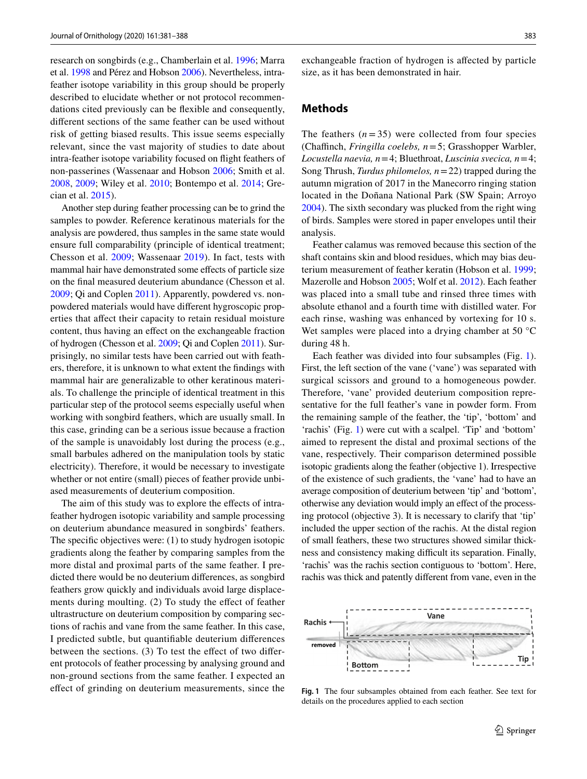research on songbirds (e.g., Chamberlain et al. [1996](#page-6-6); Marra et al. [1998](#page-6-8) and Pérez and Hobson [2006](#page-6-24)). Nevertheless, intrafeather isotope variability in this group should be properly described to elucidate whether or not protocol recommendations cited previously can be fexible and consequently, diferent sections of the same feather can be used without risk of getting biased results. This issue seems especially relevant, since the vast majority of studies to date about intra-feather isotope variability focused on fight feathers of non-passerines (Wassenaar and Hobson [2006](#page-7-4); Smith et al. [2008](#page-7-5), [2009;](#page-7-6) Wiley et al. [2010](#page-7-7); Bontempo et al. [2014](#page-6-18); Grecian et al. [2015](#page-6-22)).

Another step during feather processing can be to grind the samples to powder. Reference keratinous materials for the analysis are powdered, thus samples in the same state would ensure full comparability (principle of identical treatment; Chesson et al. [2009](#page-6-25); Wassenaar [2019](#page-7-3)). In fact, tests with mammal hair have demonstrated some efects of particle size on the fnal measured deuterium abundance (Chesson et al. [2009](#page-6-25); Qi and Coplen [2011](#page-6-21)). Apparently, powdered vs. nonpowdered materials would have diferent hygroscopic properties that afect their capacity to retain residual moisture content, thus having an efect on the exchangeable fraction of hydrogen (Chesson et al. [2009](#page-6-25); Qi and Coplen [2011](#page-6-21)). Surprisingly, no similar tests have been carried out with feathers, therefore, it is unknown to what extent the fndings with mammal hair are generalizable to other keratinous materials. To challenge the principle of identical treatment in this particular step of the protocol seems especially useful when working with songbird feathers, which are usually small. In this case, grinding can be a serious issue because a fraction of the sample is unavoidably lost during the process (e.g., small barbules adhered on the manipulation tools by static electricity). Therefore, it would be necessary to investigate whether or not entire (small) pieces of feather provide unbiased measurements of deuterium composition.

The aim of this study was to explore the effects of intrafeather hydrogen isotopic variability and sample processing on deuterium abundance measured in songbirds' feathers. The specifc objectives were: (1) to study hydrogen isotopic gradients along the feather by comparing samples from the more distal and proximal parts of the same feather. I predicted there would be no deuterium diferences, as songbird feathers grow quickly and individuals avoid large displacements during moulting. (2) To study the efect of feather ultrastructure on deuterium composition by comparing sections of rachis and vane from the same feather. In this case, I predicted subtle, but quantifable deuterium diferences between the sections. (3) To test the effect of two different protocols of feather processing by analysing ground and non-ground sections from the same feather. I expected an efect of grinding on deuterium measurements, since the exchangeable fraction of hydrogen is afected by particle size, as it has been demonstrated in hair.

#### **Methods**

The feathers  $(n=35)$  were collected from four species (Chafnch, *Fringilla coelebs, n*=5; Grasshopper Warbler, *Locustella naevia, n*=4; Bluethroat, *Luscinia svecica, n*=4; Song Thrush, *Turdus philomelos, n*=22) trapped during the autumn migration of 2017 in the Manecorro ringing station located in the Doñana National Park (SW Spain; Arroyo [2004](#page-5-1)). The sixth secondary was plucked from the right wing of birds. Samples were stored in paper envelopes until their analysis.

Feather calamus was removed because this section of the shaft contains skin and blood residues, which may bias deuterium measurement of feather keratin (Hobson et al. [1999](#page-6-26); Mazerolle and Hobson [2005;](#page-6-27) Wolf et al. [2012\)](#page-7-10). Each feather was placed into a small tube and rinsed three times with absolute ethanol and a fourth time with distilled water. For each rinse, washing was enhanced by vortexing for 10 s. Wet samples were placed into a drying chamber at 50 °C during 48 h.

Each feather was divided into four subsamples (Fig. [1](#page-2-0)). First, the left section of the vane ('vane') was separated with surgical scissors and ground to a homogeneous powder. Therefore, 'vane' provided deuterium composition representative for the full feather's vane in powder form. From the remaining sample of the feather, the 'tip', 'bottom' and 'rachis' (Fig. [1\)](#page-2-0) were cut with a scalpel. 'Tip' and 'bottom' aimed to represent the distal and proximal sections of the vane, respectively. Their comparison determined possible isotopic gradients along the feather (objective 1). Irrespective of the existence of such gradients, the 'vane' had to have an average composition of deuterium between 'tip' and 'bottom', otherwise any deviation would imply an efect of the processing protocol (objective 3). It is necessary to clarify that 'tip' included the upper section of the rachis. At the distal region of small feathers, these two structures showed similar thickness and consistency making difficult its separation. Finally, 'rachis' was the rachis section contiguous to 'bottom'. Here, rachis was thick and patently diferent from vane, even in the



<span id="page-2-0"></span>**Fig. 1** The four subsamples obtained from each feather. See text for details on the procedures applied to each section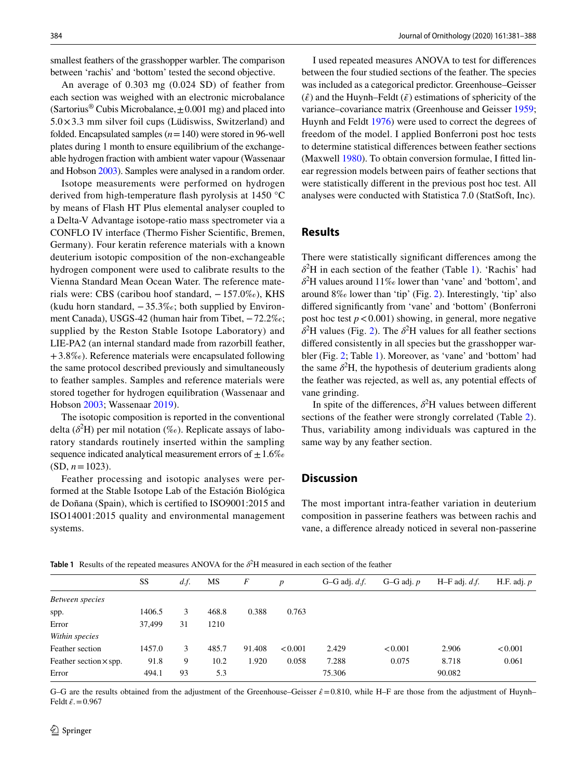smallest feathers of the grasshopper warbler. The comparison between 'rachis' and 'bottom' tested the second objective.

An average of 0.303 mg (0.024 SD) of feather from each section was weighed with an electronic microbalance (Sartorius<sup>®</sup> Cubis Microbalance,  $\pm$  0.001 mg) and placed into  $5.0 \times 3.3$  mm silver foil cups (Lüdiswiss, Switzerland) and folded. Encapsulated samples (*n*=140) were stored in 96-well plates during 1 month to ensure equilibrium of the exchangeable hydrogen fraction with ambient water vapour (Wassenaar and Hobson [2003](#page-7-11)). Samples were analysed in a random order.

Isotope measurements were performed on hydrogen derived from high-temperature fash pyrolysis at 1450 °C by means of Flash HT Plus elemental analyser coupled to a Delta-V Advantage isotope-ratio mass spectrometer via a CONFLO IV interface (Thermo Fisher Scientifc, Bremen, Germany). Four keratin reference materials with a known deuterium isotopic composition of the non-exchangeable hydrogen component were used to calibrate results to the Vienna Standard Mean Ocean Water. The reference materials were: CBS (caribou hoof standard, −157.0‰), KHS (kudu horn standard,  $-35.3\%$ ; both supplied by Environment Canada), USGS-42 (human hair from Tibet, −72.2‰; supplied by the Reston Stable Isotope Laboratory) and LIE-PA2 (an internal standard made from razorbill feather,  $+3.8\%$ ). Reference materials were encapsulated following the same protocol described previously and simultaneously to feather samples. Samples and reference materials were stored together for hydrogen equilibration (Wassenaar and Hobson [2003](#page-7-11); Wassenaar [2019](#page-7-3)).

The isotopic composition is reported in the conventional delta  $(\delta^2 H)$  per mil notation (‰). Replicate assays of laboratory standards routinely inserted within the sampling sequence indicated analytical measurement errors of  $\pm 1.6\%$  $(SD, n=1023)$ .

Feather processing and isotopic analyses were performed at the Stable Isotope Lab of the Estación Biológica de Doñana (Spain), which is certifed to ISO9001:2015 and ISO14001:2015 quality and environmental management systems.

I used repeated measures ANOVA to test for diferences between the four studied sections of the feather. The species was included as a categorical predictor. Greenhouse–Geisser  $(\hat{\varepsilon})$  and the Huynh–Feldt  $(\tilde{\varepsilon})$  estimations of sphericity of the variance–covariance matrix (Greenhouse and Geisser [1959](#page-6-28); Huynh and Feldt [1976\)](#page-6-29) were used to correct the degrees of freedom of the model. I applied Bonferroni post hoc tests to determine statistical diferences between feather sections (Maxwell [1980](#page-6-30)). To obtain conversion formulae, I ftted linear regression models between pairs of feather sections that were statistically diferent in the previous post hoc test. All analyses were conducted with Statistica 7.0 (StatSoft, Inc).

# **Results**

There were statistically signifcant diferences among the  $\delta^2$ H in each section of the feather (Table [1](#page-3-0)). 'Rachis' had *δ*2 H values around 11‰ lower than 'vane' and 'bottom', and around 8‰ lower than 'tip' (Fig. [2](#page-4-0)). Interestingly, 'tip' also difered signifcantly from 'vane' and 'bottom' (Bonferroni post hoc test  $p < 0.001$ ) showing, in general, more negative  $\delta^2$  $\delta^2$ H values (Fig. 2). The  $\delta^2$ H values for all feather sections difered consistently in all species but the grasshopper warbler (Fig. [2;](#page-4-0) Table [1\)](#page-3-0). Moreover, as 'vane' and 'bottom' had the same  $\delta^2$ H, the hypothesis of deuterium gradients along the feather was rejected, as well as, any potential effects of vane grinding.

In spite of the differences,  $\delta^2$ H values between different sections of the feather were strongly correlated (Table [2](#page-4-1)). Thus, variability among individuals was captured in the same way by any feather section.

## **Discussion**

The most important intra-feather variation in deuterium composition in passerine feathers was between rachis and vane, a diference already noticed in several non-passerine

<span id="page-3-0"></span>**Table 1** Results of the repeated measures ANOVA for the  $\delta^2$ H measured in each section of the feather

|                               | SS     | d.f. | MS    | F      | $\boldsymbol{p}$ | $G-G$ adj. $d.f.$ | $G-G$ adj. $p$ | $H-F$ adj. $d.f.$ | H.F. adj. $p$ |
|-------------------------------|--------|------|-------|--------|------------------|-------------------|----------------|-------------------|---------------|
| Between species               |        |      |       |        |                  |                   |                |                   |               |
| spp.                          | 1406.5 | 3    | 468.8 | 0.388  | 0.763            |                   |                |                   |               |
| Error                         | 37.499 | 31   | 1210  |        |                  |                   |                |                   |               |
| Within species                |        |      |       |        |                  |                   |                |                   |               |
| Feather section               | 1457.0 | 3    | 485.7 | 91.408 | < 0.001          | 2.429             | < 0.001        | 2.906             | < 0.001       |
| Feather section $\times$ spp. | 91.8   | 9    | 10.2  | 1.920  | 0.058            | 7.288             | 0.075          | 8.718             | 0.061         |
| Error                         | 494.1  | 93   | 5.3   |        |                  | 75.306            |                | 90.082            |               |
|                               |        |      |       |        |                  |                   |                |                   |               |

G–G are the results obtained from the adjustment of the Greenhouse–Geisser  $\hat{\epsilon}$  = 0.810, while H–F are those from the adjustment of Huynh– Feldt *̃*.=0.967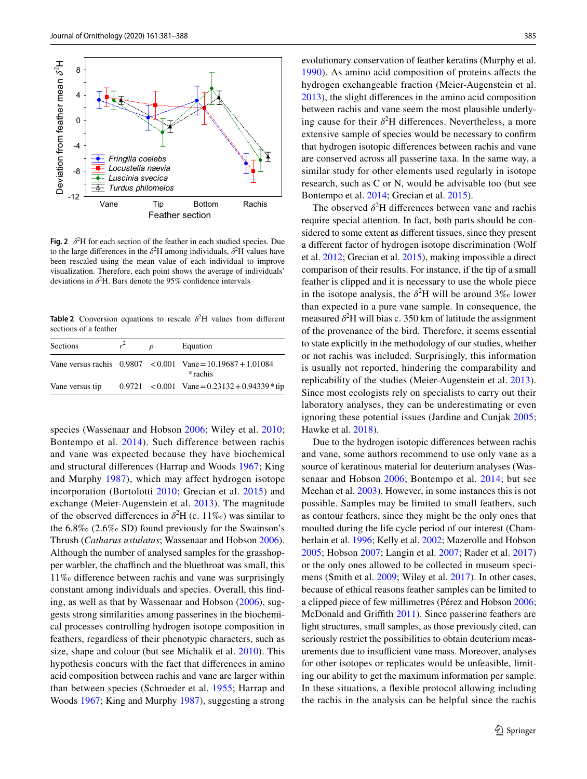

<span id="page-4-0"></span>**Fig. 2**  $\delta^2$ H for each section of the feather in each studied species. Due to the large differences in the  $\delta^2$ H among individuals,  $\delta^2$ H values have been rescaled using the mean value of each individual to improve visualization. Therefore, each point shows the average of individuals' deviations in  $\delta^2$ H. Bars denote the 95% confidence intervals

<span id="page-4-1"></span>**Table 2** Conversion equations to rescale  $\delta^2$ H values from different sections of a feather

| Sections        | n | Equation                                                                  |
|-----------------|---|---------------------------------------------------------------------------|
|                 |   | Vane versus rachis $0.9807 < 0.001$ Vane = 10.19687 + 1.01084<br>* rachis |
| Vane versus tip |   | $0.9721 \le 0.001$ Vane = $0.23132 + 0.94339 * tip$                       |

species (Wassenaar and Hobson [2006](#page-7-4); Wiley et al. [2010](#page-7-7); Bontempo et al. [2014\)](#page-6-18). Such difference between rachis and vane was expected because they have biochemical and structural diferences (Harrap and Woods [1967;](#page-6-31) King and Murphy [1987](#page-6-32)), which may affect hydrogen isotope incorporation (Bortolotti [2010;](#page-6-13) Grecian et al. [2015](#page-6-22)) and exchange (Meier-Augenstein et al. [2013](#page-6-3)). The magnitude of the observed differences in  $\delta^2$ H (c. 11‰) was similar to the 6.8‰ (2.6‰ SD) found previously for the Swainson's Thrush (*Catharus ustulatus*; Wassenaar and Hobson [2006](#page-7-4)). Although the number of analysed samples for the grasshopper warbler, the chafnch and the bluethroat was small, this 11‰ diference between rachis and vane was surprisingly constant among individuals and species. Overall, this fnding, as well as that by Wassenaar and Hobson ([2006](#page-7-4)), suggests strong similarities among passerines in the biochemical processes controlling hydrogen isotope composition in feathers, regardless of their phenotypic characters, such as size, shape and colour (but see Michalik et al. [2010](#page-6-33)). This hypothesis concurs with the fact that diferences in amino acid composition between rachis and vane are larger within than between species (Schroeder et al. [1955](#page-7-12); Harrap and Woods [1967;](#page-6-31) King and Murphy [1987\)](#page-6-32), suggesting a strong

evolutionary conservation of feather keratins (Murphy et al. [1990\)](#page-6-34). As amino acid composition of proteins afects the hydrogen exchangeable fraction (Meier-Augenstein et al. [2013](#page-6-3)), the slight diferences in the amino acid composition between rachis and vane seem the most plausible underlying cause for their  $\delta^2$ H differences. Nevertheless, a more extensive sample of species would be necessary to confrm that hydrogen isotopic diferences between rachis and vane are conserved across all passerine taxa. In the same way, a similar study for other elements used regularly in isotope research, such as C or N, would be advisable too (but see Bontempo et al. [2014;](#page-6-18) Grecian et al. [2015\)](#page-6-22).

The observed  $\delta^2$ H differences between vane and rachis require special attention. In fact, both parts should be considered to some extent as diferent tissues, since they present a diferent factor of hydrogen isotope discrimination (Wolf et al. [2012;](#page-7-10) Grecian et al. [2015](#page-6-22)), making impossible a direct comparison of their results. For instance, if the tip of a small feather is clipped and it is necessary to use the whole piece in the isotope analysis, the  $\delta^2$ H will be around 3‰ lower than expected in a pure vane sample. In consequence, the measured  $\delta^2$ H will bias c. 350 km of latitude the assignment of the provenance of the bird. Therefore, it seems essential to state explicitly in the methodology of our studies, whether or not rachis was included. Surprisingly, this information is usually not reported, hindering the comparability and replicability of the studies (Meier-Augenstein et al. [2013](#page-6-3)). Since most ecologists rely on specialists to carry out their laboratory analyses, they can be underestimating or even ignoring these potential issues (Jardine and Cunjak [2005](#page-6-19); Hawke et al. [2018\)](#page-6-35).

Due to the hydrogen isotopic diferences between rachis and vane, some authors recommend to use only vane as a source of keratinous material for deuterium analyses (Wassenaar and Hobson [2006;](#page-7-4) Bontempo et al. [2014](#page-6-18); but see Meehan et al. [2003\)](#page-6-36). However, in some instances this is not possible. Samples may be limited to small feathers, such as contour feathers, since they might be the only ones that moulted during the life cycle period of our interest (Chamberlain et al. [1996;](#page-6-6) Kelly et al. [2002](#page-6-23); Mazerolle and Hobson [2005](#page-6-27); Hobson [2007](#page-6-37); Langin et al. [2007;](#page-6-38) Rader et al. [2017\)](#page-6-39) or the only ones allowed to be collected in museum specimens (Smith et al. [2009;](#page-7-6) Wiley et al. [2017](#page-7-13)). In other cases, because of ethical reasons feather samples can be limited to a clipped piece of few millimetres (Pérez and Hobson [2006](#page-6-24); McDonald and Griffith [2011\)](#page-6-15). Since passerine feathers are light structures, small samples, as those previously cited, can seriously restrict the possibilities to obtain deuterium measurements due to insufficient vane mass. Moreover, analyses for other isotopes or replicates would be unfeasible, limiting our ability to get the maximum information per sample. In these situations, a fexible protocol allowing including the rachis in the analysis can be helpful since the rachis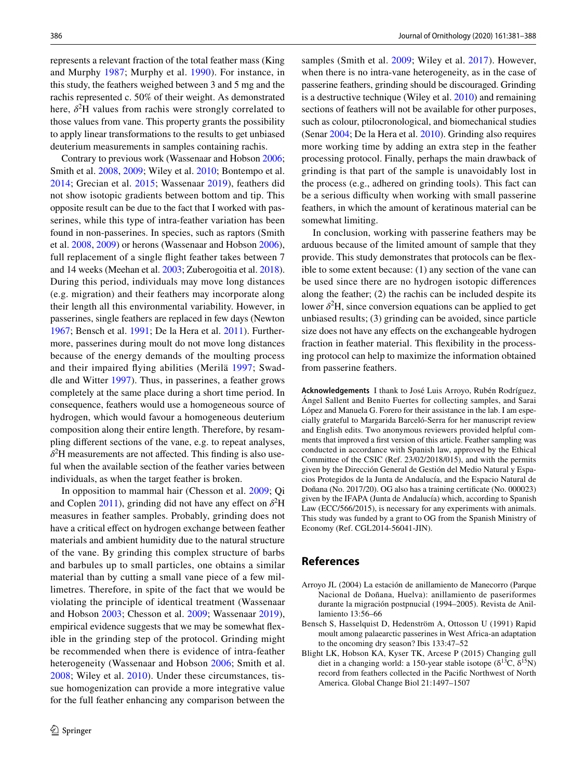represents a relevant fraction of the total feather mass (King and Murphy [1987](#page-6-32); Murphy et al. [1990](#page-6-34)). For instance, in this study, the feathers weighed between 3 and 5 mg and the rachis represented c. 50% of their weight. As demonstrated here,  $\delta^2$ H values from rachis were strongly correlated to those values from vane. This property grants the possibility to apply linear transformations to the results to get unbiased deuterium measurements in samples containing rachis.

Contrary to previous work (Wassenaar and Hobson [2006](#page-7-4); Smith et al. [2008](#page-7-5), [2009](#page-7-6); Wiley et al. [2010;](#page-7-7) Bontempo et al. [2014;](#page-6-18) Grecian et al. [2015;](#page-6-22) Wassenaar [2019](#page-7-3)), feathers did not show isotopic gradients between bottom and tip. This opposite result can be due to the fact that I worked with passerines, while this type of intra-feather variation has been found in non-passerines. In species, such as raptors (Smith et al. [2008,](#page-7-5) [2009\)](#page-7-6) or herons (Wassenaar and Hobson [2006](#page-7-4)), full replacement of a single fight feather takes between 7 and 14 weeks (Meehan et al. [2003;](#page-6-36) Zuberogoitia et al. [2018](#page-7-14)). During this period, individuals may move long distances (e.g. migration) and their feathers may incorporate along their length all this environmental variability. However, in passerines, single feathers are replaced in few days (Newton [1967](#page-6-40); Bensch et al. [1991;](#page-5-2) De la Hera et al. [2011](#page-6-41)). Furthermore, passerines during moult do not move long distances because of the energy demands of the moulting process and their impaired fying abilities (Merilä [1997](#page-6-42); Swaddle and Witter [1997](#page-7-15)). Thus, in passerines, a feather grows completely at the same place during a short time period. In consequence, feathers would use a homogeneous source of hydrogen, which would favour a homogeneous deuterium composition along their entire length. Therefore, by resampling diferent sections of the vane, e.g. to repeat analyses,  $\delta^2$ H measurements are not affected. This finding is also useful when the available section of the feather varies between individuals, as when the target feather is broken.

In opposition to mammal hair (Chesson et al. [2009](#page-6-25); Qi and Coplen [2011](#page-6-21)), grinding did not have any effect on  $\delta^2$ H measures in feather samples. Probably, grinding does not have a critical effect on hydrogen exchange between feather materials and ambient humidity due to the natural structure of the vane. By grinding this complex structure of barbs and barbules up to small particles, one obtains a similar material than by cutting a small vane piece of a few millimetres. Therefore, in spite of the fact that we would be violating the principle of identical treatment (Wassenaar and Hobson [2003;](#page-7-11) Chesson et al. [2009](#page-6-25); Wassenaar [2019](#page-7-3)), empirical evidence suggests that we may be somewhat fexible in the grinding step of the protocol. Grinding might be recommended when there is evidence of intra-feather heterogeneity (Wassenaar and Hobson [2006;](#page-7-4) Smith et al. [2008;](#page-7-5) Wiley et al. [2010\)](#page-7-7). Under these circumstances, tissue homogenization can provide a more integrative value for the full feather enhancing any comparison between the

samples (Smith et al. [2009;](#page-7-6) Wiley et al. [2017](#page-7-13)). However, when there is no intra-vane heterogeneity, as in the case of passerine feathers, grinding should be discouraged. Grinding is a destructive technique (Wiley et al. [2010](#page-7-7)) and remaining sections of feathers will not be available for other purposes, such as colour, ptilocronological, and biomechanical studies (Senar [2004;](#page-7-16) De la Hera et al. [2010\)](#page-6-43). Grinding also requires more working time by adding an extra step in the feather processing protocol. Finally, perhaps the main drawback of grinding is that part of the sample is unavoidably lost in the process (e.g., adhered on grinding tools). This fact can be a serious difficulty when working with small passerine feathers, in which the amount of keratinous material can be somewhat limiting.

In conclusion, working with passerine feathers may be arduous because of the limited amount of sample that they provide. This study demonstrates that protocols can be fexible to some extent because: (1) any section of the vane can be used since there are no hydrogen isotopic diferences along the feather; (2) the rachis can be included despite its lower  $\delta^2$ H, since conversion equations can be applied to get unbiased results; (3) grinding can be avoided, since particle size does not have any efects on the exchangeable hydrogen fraction in feather material. This fexibility in the processing protocol can help to maximize the information obtained from passerine feathers.

**Acknowledgements** I thank to José Luis Arroyo, Rubén Rodríguez, Ángel Sallent and Benito Fuertes for collecting samples, and Sarai López and Manuela G. Forero for their assistance in the lab. I am especially grateful to Margarida Barceló-Serra for her manuscript review and English edits. Two anonymous reviewers provided helpful comments that improved a frst version of this article. Feather sampling was conducted in accordance with Spanish law, approved by the Ethical Committee of the CSIC (Ref. 23/02/2018/015), and with the permits given by the Dirección General de Gestión del Medio Natural y Espacios Protegidos de la Junta de Andalucía, and the Espacio Natural de Doñana (No. 2017/20). OG also has a training certifcate (No. 000023) given by the IFAPA (Junta de Andalucía) which, according to Spanish Law (ECC/566/2015), is necessary for any experiments with animals. This study was funded by a grant to OG from the Spanish Ministry of Economy (Ref. CGL2014-56041-JIN).

### **References**

- <span id="page-5-1"></span>Arroyo JL (2004) La estación de anillamiento de Manecorro (Parque Nacional de Doñana, Huelva): anillamiento de paseriformes durante la migración postpnucial (1994–2005). Revista de Anillamiento 13:56–66
- <span id="page-5-2"></span>Bensch S, Hasselquist D, Hedenström A, Ottosson U (1991) Rapid moult among palaearctic passerines in West Africa-an adaptation to the oncoming dry season? Ibis 133:47–52
- <span id="page-5-0"></span>Blight LK, Hobson KA, Kyser TK, Arcese P (2015) Changing gull diet in a changing world: a 150-year stable isotope ( $\delta^{13}C$ ,  $\delta^{15}N$ ) record from feathers collected in the Pacifc Northwest of North America. Global Change Biol 21:1497–1507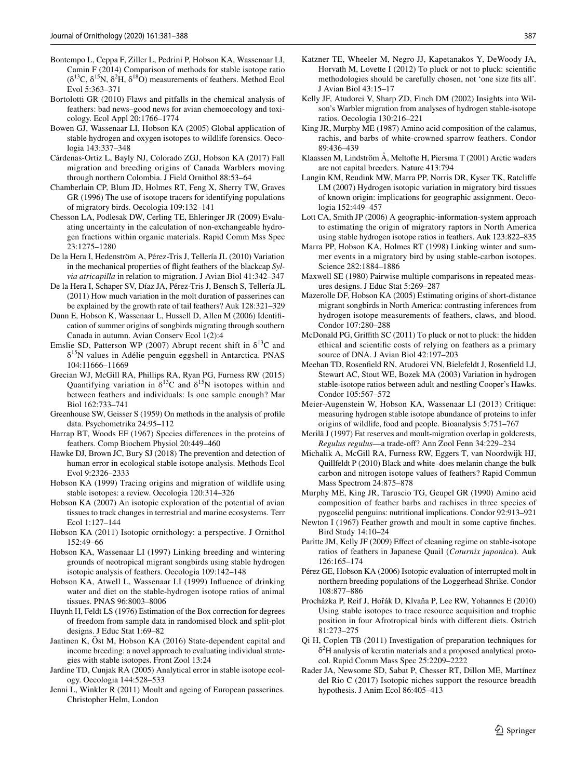- <span id="page-6-18"></span>Bontempo L, Ceppa F, Ziller L, Pedrini P, Hobson KA, Wassenaar LI, Camin F (2014) Comparison of methods for stable isotope ratio  $(\delta^{13}C, \delta^{15}N, \delta^{2}H, \delta^{18}O)$  measurements of feathers. Method Ecol Evol 5:363–371
- <span id="page-6-13"></span>Bortolotti GR (2010) Flaws and pitfalls in the chemical analysis of feathers: bad news–good news for avian chemoecology and toxicology. Ecol Appl 20:1766–1774
- <span id="page-6-1"></span>Bowen GJ, Wassenaar LI, Hobson KA (2005) Global application of stable hydrogen and oxygen isotopes to wildlife forensics. Oecologia 143:337–348
- <span id="page-6-5"></span>Cárdenas-Ortiz L, Bayly NJ, Colorado ZGJ, Hobson KA (2017) Fall migration and breeding origins of Canada Warblers moving through northern Colombia. J Field Ornithol 88:53–64
- <span id="page-6-6"></span>Chamberlain CP, Blum JD, Holmes RT, Feng X, Sherry TW, Graves GR (1996) The use of isotope tracers for identifying populations of migratory birds. Oecologia 109:132–141
- <span id="page-6-25"></span>Chesson LA, Podlesak DW, Cerling TE, Ehleringer JR (2009) Evaluating uncertainty in the calculation of non-exchangeable hydrogen fractions within organic materials. Rapid Comm Mss Spec 23:1275–1280
- <span id="page-6-43"></span>De la Hera I, Hedenström A, Pérez-Tris J, Tellería JL (2010) Variation in the mechanical properties of fight feathers of the blackcap *Sylvia atricapilla* in relation to migration. J Avian Biol 41:342–347
- <span id="page-6-41"></span>De la Hera I, Schaper SV, Díaz JA, Pérez-Tris J, Bensch S, Tellería JL (2011) How much variation in the molt duration of passerines can be explained by the growth rate of tail feathers? Auk 128:321–329
- <span id="page-6-4"></span>Dunn E, Hobson K, Wassenaar L, Hussell D, Allen M (2006) Identifcation of summer origins of songbirds migrating through southern Canada in autumn. Avian Conserv Ecol 1(2):4
- <span id="page-6-10"></span>Emslie SD, Patterson WP (2007) Abrupt recent shift in  $\delta^{13}C$  and δ15N values in Adélie penguin eggshell in Antarctica. PNAS 104:11666–11669
- <span id="page-6-22"></span>Grecian WJ, McGill RA, Phillips RA, Ryan PG, Furness RW (2015) Quantifying variation in  $\delta^{13}$ C and  $\delta^{15}$ N isotopes within and between feathers and individuals: Is one sample enough? Mar Biol 162:733–741
- <span id="page-6-28"></span>Greenhouse SW, Geisser S (1959) On methods in the analysis of profle data. Psychometrika 24:95–112
- <span id="page-6-31"></span>Harrap BT, Woods EF (1967) Species diferences in the proteins of feathers. Comp Biochem Physiol 20:449–460
- <span id="page-6-35"></span>Hawke DJ, Brown JC, Bury SJ (2018) The prevention and detection of human error in ecological stable isotope analysis. Methods Ecol Evol 9:2326–2333
- <span id="page-6-0"></span>Hobson KA (1999) Tracing origins and migration of wildlife using stable isotopes: a review. Oecologia 120:314–326
- <span id="page-6-37"></span>Hobson KA (2007) An isotopic exploration of the potential of avian tissues to track changes in terrestrial and marine ecosystems. Terr Ecol 1:127–144
- <span id="page-6-2"></span>Hobson KA (2011) Isotopic ornithology: a perspective. J Ornithol 152:49–66
- <span id="page-6-7"></span>Hobson KA, Wassenaar LI (1997) Linking breeding and wintering grounds of neotropical migrant songbirds using stable hydrogen isotopic analysis of feathers. Oecologia 109:142–148
- <span id="page-6-26"></span>Hobson KA, Atwell L, Wassenaar LI (1999) Infuence of drinking water and diet on the stable-hydrogen isotope ratios of animal tissues. PNAS 96:8003–8006
- <span id="page-6-29"></span>Huynh H, Feldt LS (1976) Estimation of the Box correction for degrees of freedom from sample data in randomised block and split-plot designs. J Educ Stat 1:69–82
- <span id="page-6-12"></span>Jaatinen K, Öst M, Hobson KA (2016) State-dependent capital and income breeding: a novel approach to evaluating individual strategies with stable isotopes. Front Zool 13:24
- <span id="page-6-19"></span>Jardine TD, Cunjak RA (2005) Analytical error in stable isotope ecology. Oecologia 144:528–533
- <span id="page-6-14"></span>Jenni L, Winkler R (2011) Moult and ageing of European passerines. Christopher Helm, London
- <span id="page-6-16"></span>Katzner TE, Wheeler M, Negro JJ, Kapetanakos Y, DeWoody JA, Horvath M, Lovette I (2012) To pluck or not to pluck: scientifc methodologies should be carefully chosen, not 'one size fts all'. J Avian Biol 43:15–17
- <span id="page-6-23"></span>Kelly JF, Atudorei V, Sharp ZD, Finch DM (2002) Insights into Wilson's Warbler migration from analyses of hydrogen stable-isotope ratios. Oecologia 130:216–221
- <span id="page-6-32"></span>King JR, Murphy ME (1987) Amino acid composition of the calamus, rachis, and barbs of white-crowned sparrow feathers. Condor 89:436–439
- <span id="page-6-11"></span>Klaassen M, Lindström Å, Meltofte H, Piersma T (2001) Arctic waders are not capital breeders. Nature 413:794
- <span id="page-6-38"></span>Langin KM, Reudink MW, Marra PP, Norris DR, Kyser TK, Ratclife LM (2007) Hydrogen isotopic variation in migratory bird tissues of known origin: implications for geographic assignment. Oecologia 152:449–457
- <span id="page-6-20"></span>Lott CA, Smith JP (2006) A geographic-information-system approach to estimating the origin of migratory raptors in North America using stable hydrogen isotope ratios in feathers. Auk 123:822–835
- <span id="page-6-8"></span>Marra PP, Hobson KA, Holmes RT (1998) Linking winter and summer events in a migratory bird by using stable-carbon isotopes. Science 282:1884–1886
- <span id="page-6-30"></span>Maxwell SE (1980) Pairwise multiple comparisons in repeated measures designs. J Educ Stat 5:269–287
- <span id="page-6-27"></span>Mazerolle DF, Hobson KA (2005) Estimating origins of short-distance migrant songbirds in North America: contrasting inferences from hydrogen isotope measurements of feathers, claws, and blood. Condor 107:280–288
- <span id="page-6-15"></span>McDonald PG, Grifth SC (2011) To pluck or not to pluck: the hidden ethical and scientifc costs of relying on feathers as a primary source of DNA. J Avian Biol 42:197–203
- <span id="page-6-36"></span>Meehan TD, Rosenfeld RN, Atudorei VN, Bielefeldt J, Rosenfeld LJ, Stewart AC, Stout WE, Bozek MA (2003) Variation in hydrogen stable-isotope ratios between adult and nestling Cooper's Hawks. Condor 105:567–572
- <span id="page-6-3"></span>Meier-Augenstein W, Hobson KA, Wassenaar LI (2013) Critique: measuring hydrogen stable isotope abundance of proteins to infer origins of wildlife, food and people. Bioanalysis 5:751–767
- <span id="page-6-42"></span>Merilä J (1997) Fat reserves and moult-migration overlap in goldcrests, *Regulus regulus*—a trade-of? Ann Zool Fenn 34:229–234
- <span id="page-6-33"></span>Michalik A, McGill RA, Furness RW, Eggers T, van Noordwijk HJ, Quillfeldt P (2010) Black and white–does melanin change the bulk carbon and nitrogen isotope values of feathers? Rapid Commun Mass Spectrom 24:875–878
- <span id="page-6-34"></span>Murphy ME, King JR, Taruscio TG, Geupel GR (1990) Amino acid composition of feather barbs and rachises in three species of pygoscelid penguins: nutritional implications. Condor 92:913–921
- <span id="page-6-40"></span>Newton I (1967) Feather growth and moult in some captive fnches. Bird Study 14:10–24
- <span id="page-6-17"></span>Paritte JM, Kelly JF (2009) Efect of cleaning regime on stable-isotope ratios of feathers in Japanese Quail (*Coturnix japonica*). Auk 126:165–174
- <span id="page-6-24"></span>Pérez GE, Hobson KA (2006) Isotopic evaluation of interrupted molt in northern breeding populations of the Loggerhead Shrike. Condor 108:877–886
- <span id="page-6-9"></span>Procházka P, Reif J, Hořák D, Klvaňa P, Lee RW, Yohannes E (2010) Using stable isotopes to trace resource acquisition and trophic position in four Afrotropical birds with diferent diets. Ostrich 81:273–275
- <span id="page-6-21"></span>Qi H, Coplen TB (2011) Investigation of preparation techniques for  $\delta^2$ H analysis of keratin materials and a proposed analytical protocol. Rapid Comm Mass Spec 25:2209–2222
- <span id="page-6-39"></span>Rader JA, Newsome SD, Sabat P, Chesser RT, Dillon ME, Martínez del Rio C (2017) Isotopic niches support the resource breadth hypothesis. J Anim Ecol 86:405–413